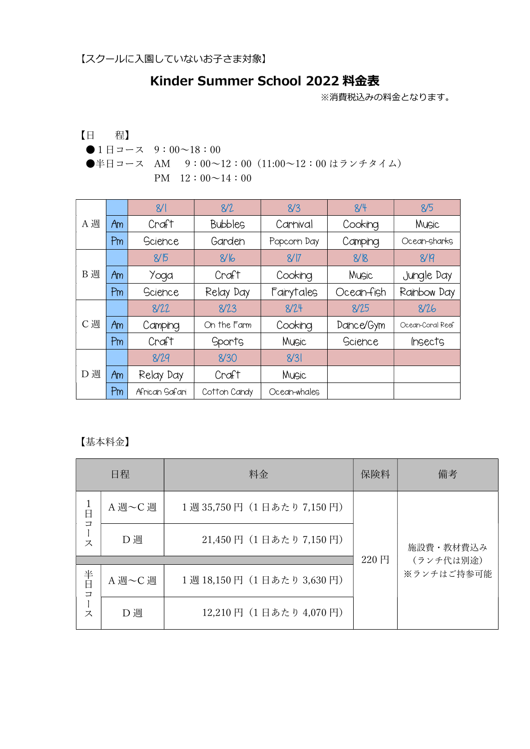## Kinder Summer School 2022 料金表

※消費税込みの料金となります。

【日 程】 ●1日コース 9:00~18:00 ●半日コース AM 9:00~12:00 (11:00~12:00 はランチタイム) PM  $12:00 \sim 14:00$ 

|     |    | 8/1            | 8/2            | 8/3          | 8/4        | 8/5              |
|-----|----|----------------|----------------|--------------|------------|------------------|
| A週  | Am | Craft          | <b>Bubbles</b> | Carnival     | Cooking    | Music            |
|     | Pm | Science        | Garden         | Popcorn Day  | Camping    | Ocean-sharks     |
|     |    | 8/5            | 8/16           | 8/17         | 8/8        | 8/R              |
| B 週 | Am | Yoga           | Craft          | Cooking      | Music      | Jungle Day       |
|     | Pm | Science        | Relay Day      | Fairytales   | Ocean-fish | Rainbow Day      |
|     |    | 8/22           | 8/23           | 8/24         | 8/25       | 8/26             |
| C週  | Am | Camping        | On the Farm    | Cooking      | Dance/Gym  | Ocean-Coral Reef |
|     | Pm | Craft          | <b>Sports</b>  | Music        | Science    | <i>Ingects</i>   |
|     |    | 8/29           | 8/30           | 8/3          |            |                  |
| D 週 | Am | Relay Day      | Craft          | Music        |            |                  |
|     | Pm | African Safari | Cotton Candy   | Ocean-whales |            |                  |

【基本料金】

|                            | 日程      | 料金                      | 保険料  | 備考         |
|----------------------------|---------|-------------------------|------|------------|
| $\frac{1}{\Box}$<br>$\Box$ | A 週~C 週 | 1週35,750円 (1日あたり7,150円) |      | 施設費・教材費込み  |
| ス                          | D 週     | 21,450円 (1日あたり7,150円)   |      |            |
|                            |         |                         | 220円 | (ランチ代は別途)  |
| 半日<br>$\Box$<br>ス          | A 週~C 週 | 1週18,150円 (1日あたり3,630円) |      | ※ランチはご持参可能 |
|                            | D 週     | 12,210円 (1日あたり 4,070円)  |      |            |